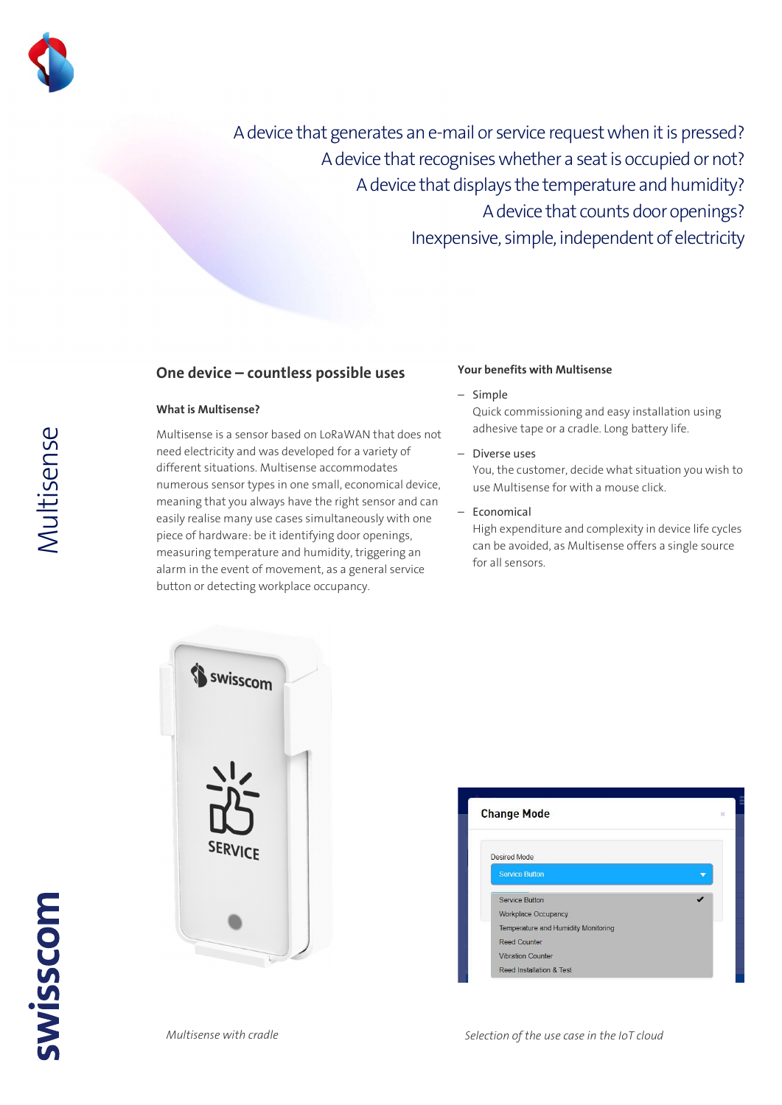

A device that generates an e-mail or service request when it is pressed? A device that recognises whether a seat is occupied or not? A device that displays the temperature and humidity? A device that counts door openings? Inexpensive, simple, independent of electricity

## One device – countless possible uses

### What is Multisense?

Multisense is a sensor based on LoRaWAN that does not need electricity and was developed for a variety of different situations. Multisense accommodates numerous sensor types in one small, economical device, meaning that you always have the right sensor and can easily realise many use cases simultaneously with one piece of hardware: be it identifying door openings, measuring temperature and humidity, triggering an alarm in the event of movement, as a general service button or detecting workplace occupancy.

#### Your benefits with Multisense

#### – Simple

Quick commissioning and easy installation using adhesive tape or a cradle. Long battery life.

– Diverse uses

You, the customer, decide what situation you wish to use Multisense for with a mouse click.

– Economical

High expenditure and complexity in device life cycles can be avoided, as Multisense offers a single source for all sensors.



| <b>Change Mode</b>                  |  |
|-------------------------------------|--|
| Desired Mode                        |  |
| <b>Service Button</b>               |  |
| Service Button                      |  |
| <b>Workplace Occupancy</b>          |  |
| Temperature and Humidity Monitoring |  |
| <b>Reed Counter</b>                 |  |
| <b>Vibration Counter</b>            |  |